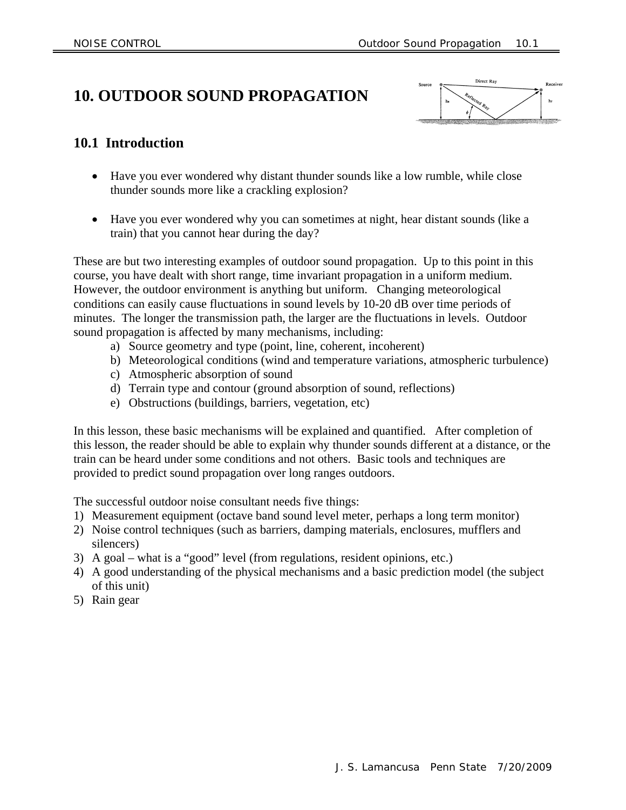# **10. OUTDOOR SOUND PROPAGATION**



## **10.1 Introduction**

- Have you ever wondered why distant thunder sounds like a low rumble, while close thunder sounds more like a crackling explosion?
- Have you ever wondered why you can sometimes at night, hear distant sounds (like a train) that you cannot hear during the day?

These are but two interesting examples of outdoor sound propagation. Up to this point in this course, you have dealt with short range, time invariant propagation in a uniform medium. However, the outdoor environment is anything but uniform. Changing meteorological conditions can easily cause fluctuations in sound levels by 10-20 dB over time periods of minutes. The longer the transmission path, the larger are the fluctuations in levels. Outdoor sound propagation is affected by many mechanisms, including:

- a) Source geometry and type (point, line, coherent, incoherent)
- b) Meteorological conditions (wind and temperature variations, atmospheric turbulence)
- c) Atmospheric absorption of sound
- d) Terrain type and contour (ground absorption of sound, reflections)
- e) Obstructions (buildings, barriers, vegetation, etc)

In this lesson, these basic mechanisms will be explained and quantified. After completion of this lesson, the reader should be able to explain why thunder sounds different at a distance, or the train can be heard under some conditions and not others. Basic tools and techniques are provided to predict sound propagation over long ranges outdoors.

The successful outdoor noise consultant needs five things:

- 1) Measurement equipment (octave band sound level meter, perhaps a long term monitor)
- 2) Noise control techniques (such as barriers, damping materials, enclosures, mufflers and silencers)
- 3) A goal what is a "good" level (from regulations, resident opinions, etc.)
- 4) A good understanding of the physical mechanisms and a basic prediction model (the subject of this unit)
- 5) Rain gear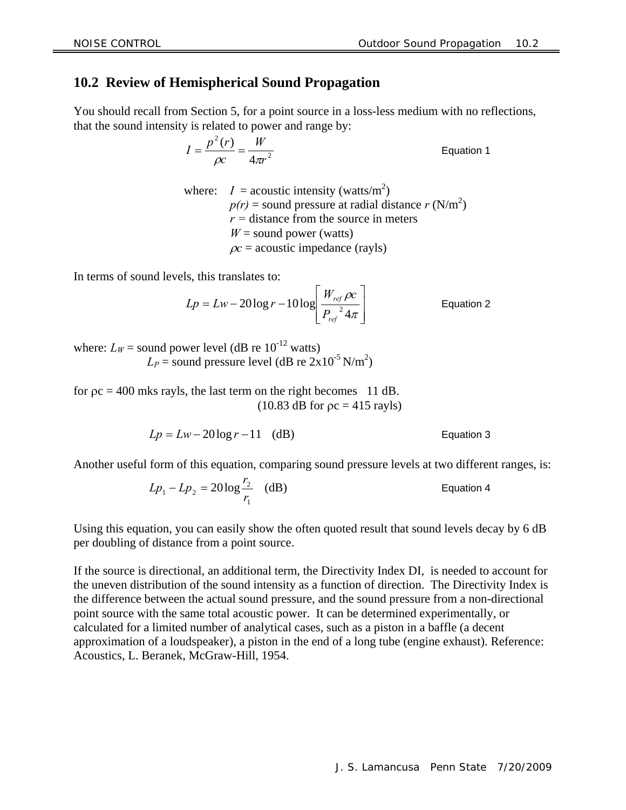### **10.2 Review of Hemispherical Sound Propagation**

You should recall from Section 5, for a point source in a loss-less medium with no reflections, that the sound intensity is related to power and range by:

> 2 2 4  $(r)$ *r W c*  $I = \frac{p^2(r)}{\rho c} = \frac{W}{4\pi r^2}$  Equation 1

where:  $I =$  acoustic intensity (watts/m<sup>2</sup>)  $p(r)$  = sound pressure at radial distance  $r(N/m^2)$  $r =$  distance from the source in meters  $W =$  sound power (watts)  $\alpha$  = acoustic impedance (rayls)

In terms of sound levels, this translates to:

$$
Lp = Lw - 20\log r - 10\log\left[\frac{W_{ref} \rho c}{P_{ref}^2 4\pi}\right]
$$
 Equation 2

where:  $L_W$  = sound power level (dB re 10<sup>-12</sup> watts)  $L_P$  = sound pressure level (dB re  $2x10^{-5}$  N/m<sup>2</sup>)

for  $pc = 400$  mks rayls, the last term on the right becomes 11 dB.  $(10.83$  dB for  $pc = 415$  rayls)

$$
Lp = Lw - 20\log r - 11 \quad (dB)
$$

Another useful form of this equation, comparing sound pressure levels at two different ranges, is:

 $20\log^2(dB)$ 1  $L_1 - L p_2 = 20 \log \frac{r_2}{r_1}$  $Lp_1 - Lp_2 = 20 \log \frac{r_2}{r}$  (dB) Equation 4

Using this equation, you can easily show the often quoted result that sound levels decay by 6 dB per doubling of distance from a point source.

If the source is directional, an additional term, the Directivity Index DI, is needed to account for the uneven distribution of the sound intensity as a function of direction. The Directivity Index is the difference between the actual sound pressure, and the sound pressure from a non-directional point source with the same total acoustic power. It can be determined experimentally, or calculated for a limited number of analytical cases, such as a piston in a baffle (a decent approximation of a loudspeaker), a piston in the end of a long tube (engine exhaust). Reference: Acoustics, L. Beranek, McGraw-Hill, 1954.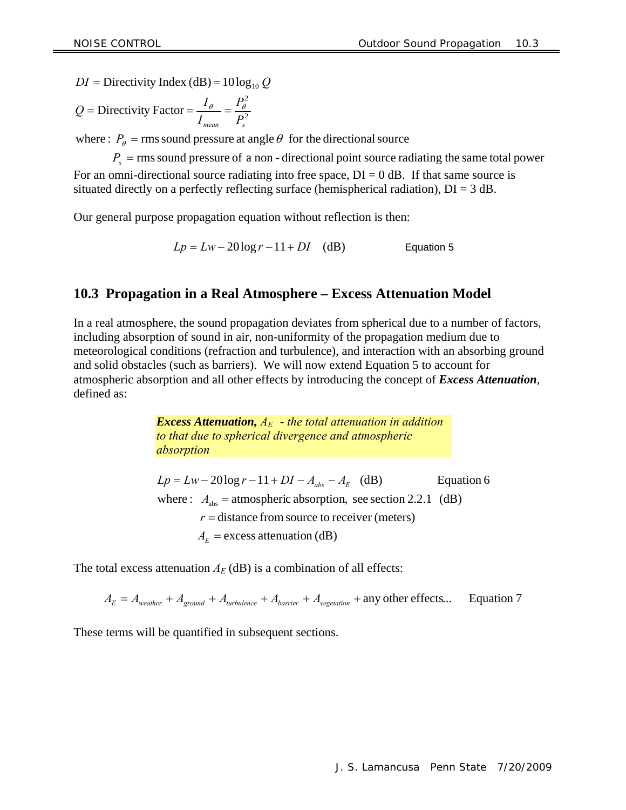$DI =$  Directivity Index (dB) =  $10 \log_{10} Q$ 

$$
Q = \text{Directivity Factor} = \frac{I_{\theta}}{I_{\text{mean}}} = \frac{P_{\theta}^2}{P_s^2}
$$

where :  $P_{\theta}$  = rms sound pressure at angle  $\theta$  for the directional source

 $P_s$  = rms sound pressure of a non - directional point source radiating the same total power For an omni-directional source radiating into free space,  $DI = 0$  dB. If that same source is situated directly on a perfectly reflecting surface (hemispherical radiation),  $DI = 3$  dB.

Our general purpose propagation equation without reflection is then:

 $Lp = Lw - 20\log r - 11 + DI$  (dB) Equation 5

### **10.3 Propagation in a Real Atmosphere – Excess Attenuation Model**

In a real atmosphere, the sound propagation deviates from spherical due to a number of factors, including absorption of sound in air, non-uniformity of the propagation medium due to meteorological conditions (refraction and turbulence), and interaction with an absorbing ground and solid obstacles (such as barriers). We will now extend Equation 5 to account for atmospheric absorption and all other effects by introducing the concept of *Excess Attenuation*, defined as:

> *Excess Attenuation, AE* - *the total attenuation in addition to that due to spherical divergence and atmospheric absorption*

 $A_E$  = excess attenuation (dB)  $r =$  distance from source to receiver (meters) where  $\colon A_{\text{abs}} = \text{atmospheric absorption, see section 2.2.1 (dB)}$  $Lp = Lw - 20 \log r - 11 + DI - A_{abs} - A_E$  (dB) Equation 6

The total excess attenuation  $A_E$  (dB) is a combination of all effects:

 $A_E = A_{weather} + A_{ground} + A_{turbulence} + A_{barrier} + A_{vegetation} +$ any other effects... Equation 7

These terms will be quantified in subsequent sections.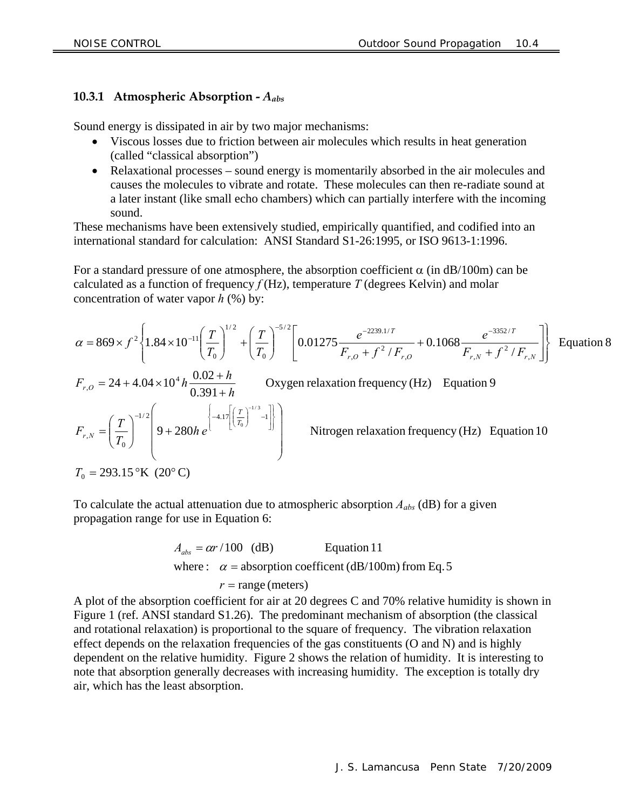#### **10.3.1 Atmospheric Absorption -** *Aabs*

Sound energy is dissipated in air by two major mechanisms:

- Viscous losses due to friction between air molecules which results in heat generation (called "classical absorption")
- Relaxational processes sound energy is momentarily absorbed in the air molecules and causes the molecules to vibrate and rotate. These molecules can then re-radiate sound at a later instant (like small echo chambers) which can partially interfere with the incoming sound.

These mechanisms have been extensively studied, empirically quantified, and codified into an international standard for calculation: ANSI Standard S1-26:1995, or ISO 9613-1:1996.

For a standard pressure of one atmosphere, the absorption coefficient  $\alpha$  (in dB/100m) can be calculated as a function of frequency  $f(Hz)$ , temperature *T* (degrees Kelvin) and molar concentration of water vapor *h* (%) by:

$$
\alpha = 869 \times f^2 \left\{ 1.84 \times 10^{-11} \left( \frac{T}{T_0} \right)^{1/2} + \left( \frac{T}{T_0} \right)^{-5/2} \left[ 0.01275 \frac{e^{-2239.1/T}}{F_{r,0} + f^2 / F_{r,0}} + 0.1068 \frac{e^{-3352/T}}{F_{r,N} + f^2 / F_{r,N}} \right] \right\}
$$
 Equation 8  
\n
$$
F_{r,0} = 24 + 4.04 \times 10^4 h \frac{0.02 + h}{0.391 + h}
$$
 Oxygen relaxation frequency (Hz) Equation 9  
\n
$$
F_{r,N} = \left( \frac{T}{T_0} \right)^{-1/2} \left( 9 + 280 h e \left[ -4.17 \left[ \left( \frac{T}{T_0} \right)^{-1/3} - 1 \right] \right] \right)
$$
Nitrogen relaxation frequency (Hz) Equation 10  
\n
$$
T_0 = 293.15 \text{°K} \ (20^{\circ} \text{C})
$$

To calculate the actual attenuation due to atmospheric absorption *Aabs* (dB) for a given propagation range for use in Equation 6:

$$
A_{abs} = \alpha r / 100
$$
 (dB) Equation 11  
where:  $\alpha$  = absorption coefficient (dB/100m) from Eq. 5  
 $r$  = range (meters)

A plot of the absorption coefficient for air at 20 degrees C and 70% relative humidity is shown in Figure 1 (ref. ANSI standard S1.26). The predominant mechanism of absorption (the classical and rotational relaxation) is proportional to the square of frequency. The vibration relaxation effect depends on the relaxation frequencies of the gas constituents (O and N) and is highly dependent on the relative humidity. Figure 2 shows the relation of humidity. It is interesting to note that absorption generally decreases with increasing humidity. The exception is totally dry air, which has the least absorption.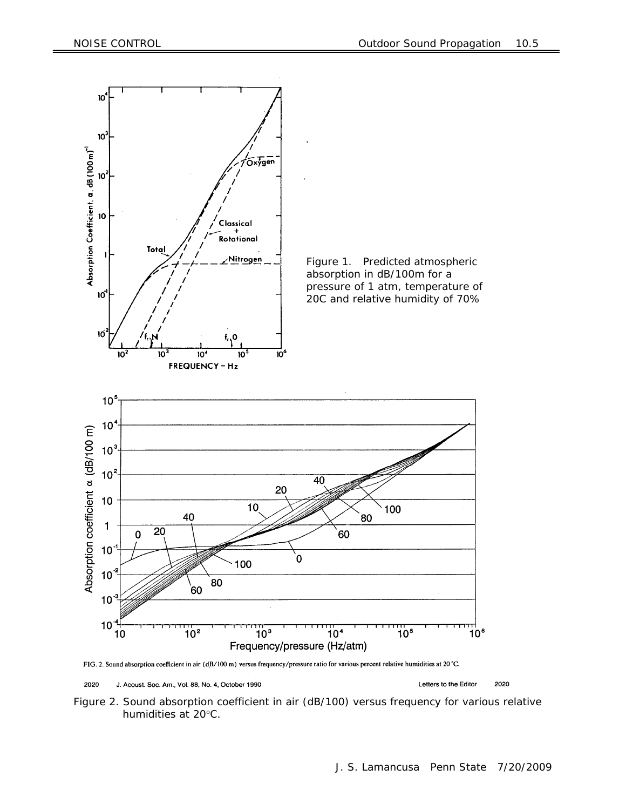



2020 J. Acoust. Soc. Am., Vol. 88, No. 4, October 1990

Letters to the Editor 2020

Figure 2. Sound absorption coefficient in air (dB/100) versus frequency for various relative humidities at 20°C.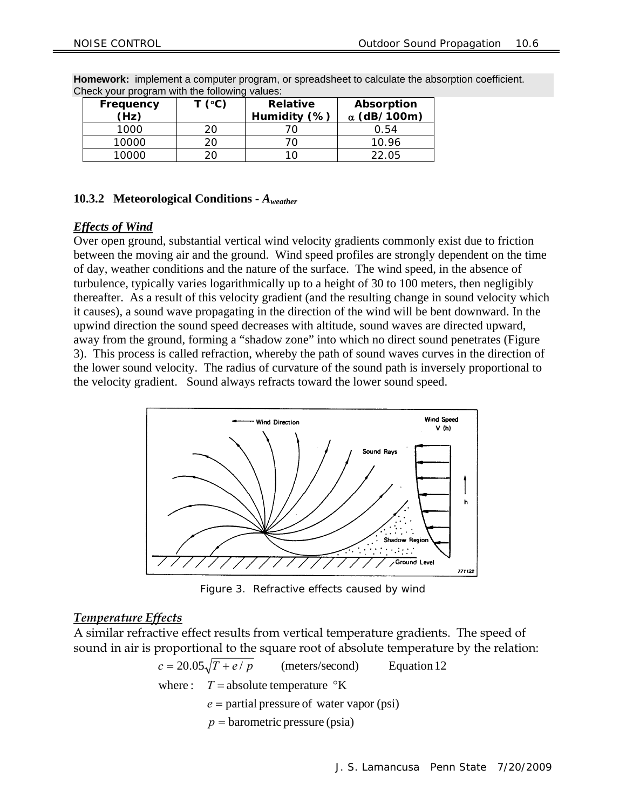| Frequency<br>(Hz) | T (°C) | <b>Relative</b><br>Humidity (%) | Absorption<br>$\alpha$ (dB/100m) |
|-------------------|--------|---------------------------------|----------------------------------|
| 1000              | 20.    |                                 | 0.54                             |
| 10000             | 20     |                                 | 10.96                            |
| 10000             |        |                                 | 22.05                            |

**Homework:** implement a computer program, or spreadsheet to calculate the absorption coefficient. Check your program with the following values:

#### **10.3.2 Meteorological Conditions -** *Aweather*

#### *Effects of Wind*

Over open ground, substantial vertical wind velocity gradients commonly exist due to friction between the moving air and the ground. Wind speed profiles are strongly dependent on the time of day, weather conditions and the nature of the surface. The wind speed, in the absence of turbulence, typically varies logarithmically up to a height of 30 to 100 meters, then negligibly thereafter. As a result of this velocity gradient (and the resulting change in sound velocity which it causes), a sound wave propagating in the direction of the wind will be bent downward. In the upwind direction the sound speed decreases with altitude, sound waves are directed upward, away from the ground, forming a "shadow zone" into which no direct sound penetrates (Figure 3). This process is called refraction, whereby the path of sound waves curves in the direction of the lower sound velocity. The radius of curvature of the sound path is inversely proportional to the velocity gradient. Sound always refracts toward the lower sound speed.



Figure 3. Refractive effects caused by wind

#### *Temperature Effects*

A similar refractive effect results from vertical temperature gradients. The speed of sound in air is proportional to the square root of absolute temperature by the relation:

$$
c = 20.05\sqrt{T + e/p}
$$
 (meters/second) Equation 12  
where:  $T$  = absolute temperature °K  
 $e$  = partial pressure of water vapor (psi)  
 $p$  = barometric pressure (psia)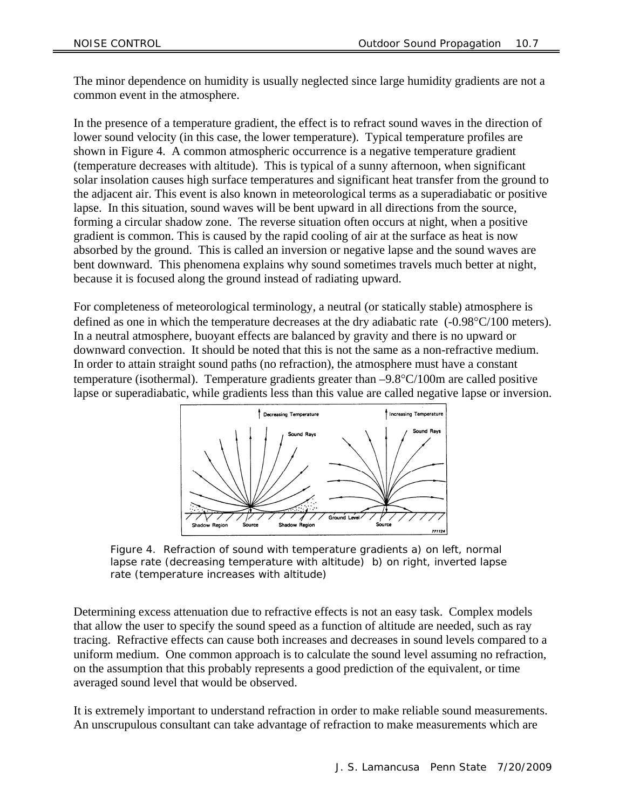The minor dependence on humidity is usually neglected since large humidity gradients are not a common event in the atmosphere.

In the presence of a temperature gradient, the effect is to refract sound waves in the direction of lower sound velocity (in this case, the lower temperature). Typical temperature profiles are shown in Figure 4. A common atmospheric occurrence is a negative temperature gradient (temperature decreases with altitude). This is typical of a sunny afternoon, when significant solar insolation causes high surface temperatures and significant heat transfer from the ground to the adjacent air. This event is also known in meteorological terms as a superadiabatic or positive lapse. In this situation, sound waves will be bent upward in all directions from the source, forming a circular shadow zone. The reverse situation often occurs at night, when a positive gradient is common. This is caused by the rapid cooling of air at the surface as heat is now absorbed by the ground. This is called an inversion or negative lapse and the sound waves are bent downward. This phenomena explains why sound sometimes travels much better at night, because it is focused along the ground instead of radiating upward.

For completeness of meteorological terminology, a neutral (or statically stable) atmosphere is defined as one in which the temperature decreases at the dry adiabatic rate  $(-0.98^{\circ}C/100$  meters). In a neutral atmosphere, buoyant effects are balanced by gravity and there is no upward or downward convection. It should be noted that this is not the same as a non-refractive medium. In order to attain straight sound paths (no refraction), the atmosphere must have a constant temperature (isothermal). Temperature gradients greater than  $-9.8^{\circ}C/100m$  are called positive lapse or superadiabatic, while gradients less than this value are called negative lapse or inversion.



Figure 4. Refraction of sound with temperature gradients a) on left, normal lapse rate (decreasing temperature with altitude) b) on right, inverted lapse rate (temperature increases with altitude)

Determining excess attenuation due to refractive effects is not an easy task. Complex models that allow the user to specify the sound speed as a function of altitude are needed, such as ray tracing. Refractive effects can cause both increases and decreases in sound levels compared to a uniform medium. One common approach is to calculate the sound level assuming no refraction, on the assumption that this probably represents a good prediction of the equivalent, or time averaged sound level that would be observed.

It is extremely important to understand refraction in order to make reliable sound measurements. An unscrupulous consultant can take advantage of refraction to make measurements which are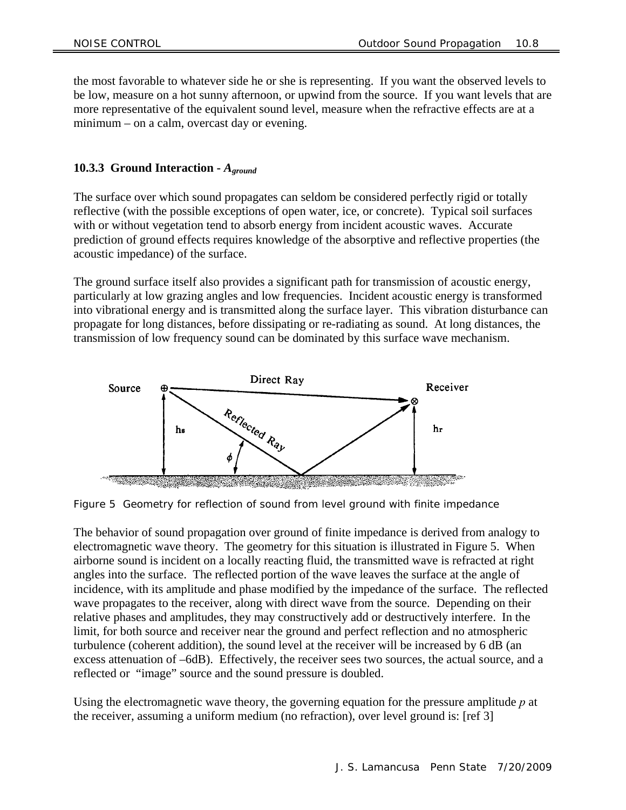the most favorable to whatever side he or she is representing. If you want the observed levels to be low, measure on a hot sunny afternoon, or upwind from the source. If you want levels that are more representative of the equivalent sound level, measure when the refractive effects are at a minimum – on a calm, overcast day or evening.

#### **10.3.3 Ground Interaction -** *Aground*

The surface over which sound propagates can seldom be considered perfectly rigid or totally reflective (with the possible exceptions of open water, ice, or concrete). Typical soil surfaces with or without vegetation tend to absorb energy from incident acoustic waves. Accurate prediction of ground effects requires knowledge of the absorptive and reflective properties (the acoustic impedance) of the surface.

The ground surface itself also provides a significant path for transmission of acoustic energy, particularly at low grazing angles and low frequencies. Incident acoustic energy is transformed into vibrational energy and is transmitted along the surface layer. This vibration disturbance can propagate for long distances, before dissipating or re-radiating as sound. At long distances, the transmission of low frequency sound can be dominated by this surface wave mechanism.



Figure 5 Geometry for reflection of sound from level ground with finite impedance

The behavior of sound propagation over ground of finite impedance is derived from analogy to electromagnetic wave theory. The geometry for this situation is illustrated in Figure 5. When airborne sound is incident on a locally reacting fluid, the transmitted wave is refracted at right angles into the surface. The reflected portion of the wave leaves the surface at the angle of incidence, with its amplitude and phase modified by the impedance of the surface. The reflected wave propagates to the receiver, along with direct wave from the source. Depending on their relative phases and amplitudes, they may constructively add or destructively interfere. In the limit, for both source and receiver near the ground and perfect reflection and no atmospheric turbulence (coherent addition), the sound level at the receiver will be increased by 6 dB (an excess attenuation of –6dB). Effectively, the receiver sees two sources, the actual source, and a reflected or "image" source and the sound pressure is doubled.

Using the electromagnetic wave theory, the governing equation for the pressure amplitude *p* at the receiver, assuming a uniform medium (no refraction), over level ground is: [ref 3]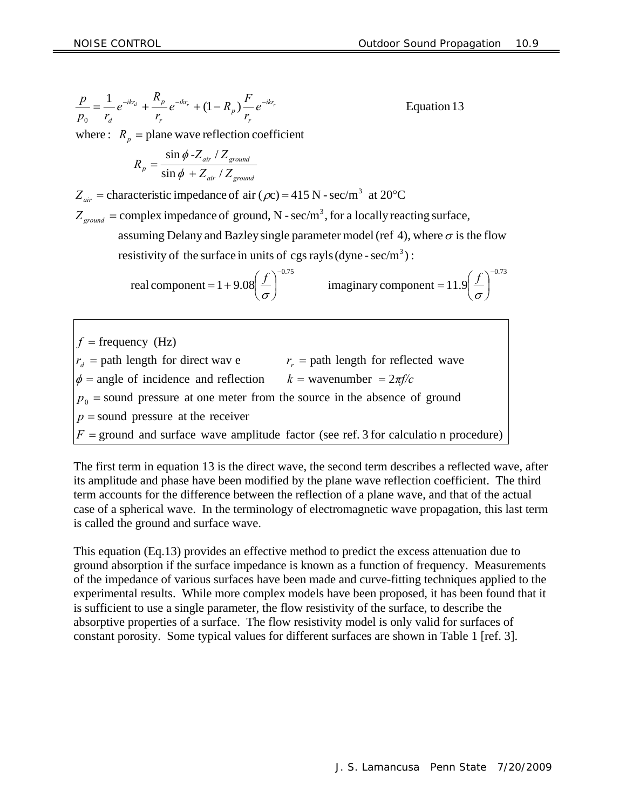$$
\frac{p}{p_0} = \frac{1}{r_d} e^{-ikr_d} + \frac{R_p}{r_r} e^{-ikr_r} + (1 - R_p) \frac{F}{r_r} e^{-ikr_r}
$$
 Equation 13

where  $\colon R_p =$  plane wave reflection coefficient

$$
R_p = \frac{\sin \phi \cdot Z_{air} / Z_{ground}}{\sin \phi + Z_{air} / Z_{ground}}
$$

 $Z_{air}$  = characteristic impedance of air ( $\rho z$ ) = 415 N - sec/m<sup>3</sup> at 20°C

 $Z_{ground} =$  complex impedance of ground, N - sec/m<sup>3</sup>, for a locally reacting surface,

resistivity of the surface in units of cgs rayls (dyne -  $sec/m<sup>3</sup>$ ): assuming Delany and Bazley single parameter model (ref 4), where  $\sigma$  is the flow

real component = 1 + 9.08 
$$
\left(\frac{f}{\sigma}\right)^{-0.75}
$$
 imaginary component = 11.9  $\left(\frac{f}{\sigma}\right)^{-0.73}$ 

 $F =$  ground and surface wave amplitude factor (see ref. 3 for calculation procedure)  $p =$ sound pressure at the receiver  $p_0$  = sound pressure at one meter from the source in the absence of ground  $\phi$  = angle of incidence and reflection  $k =$  wavenumber =  $2\pi f/c$  $r_d$  = path length for direct wav e  $r_r$  = path length for reflected wave  $f = \text{frequency (Hz)}$ ֺ֖֚֝֬

The first term in equation 13 is the direct wave, the second term describes a reflected wave, after its amplitude and phase have been modified by the plane wave reflection coefficient. The third term accounts for the difference between the reflection of a plane wave, and that of the actual case of a spherical wave. In the terminology of electromagnetic wave propagation, this last term is called the ground and surface wave.

This equation (Eq.13) provides an effective method to predict the excess attenuation due to ground absorption if the surface impedance is known as a function of frequency. Measurements of the impedance of various surfaces have been made and curve-fitting techniques applied to the experimental results. While more complex models have been proposed, it has been found that it is sufficient to use a single parameter, the flow resistivity of the surface, to describe the absorptive properties of a surface. The flow resistivity model is only valid for surfaces of constant porosity. Some typical values for different surfaces are shown in Table 1 [ref. 3].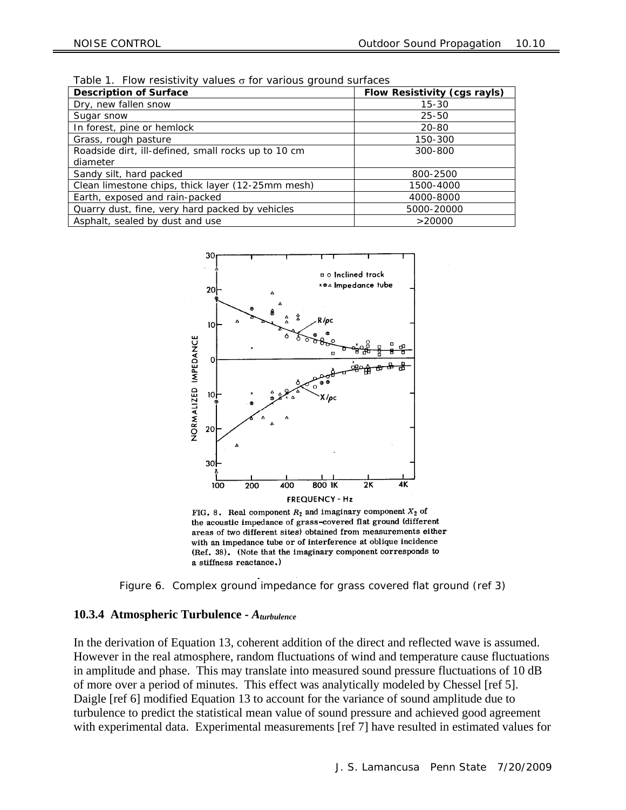| <b>Description of Surface</b>                       | Flow Resistivity (cgs rayls) |  |  |  |
|-----------------------------------------------------|------------------------------|--|--|--|
| Dry, new fallen snow                                | $15 - 30$                    |  |  |  |
| Sugar snow                                          | $25 - 50$                    |  |  |  |
| In forest, pine or hemlock                          | 20-80                        |  |  |  |
| Grass, rough pasture                                | 150-300                      |  |  |  |
| Roadside dirt, ill-defined, small rocks up to 10 cm | 300-800                      |  |  |  |
| diameter                                            |                              |  |  |  |
| Sandy silt, hard packed                             | 800-2500                     |  |  |  |
| Clean limestone chips, thick layer (12-25mm mesh)   | 1500-4000                    |  |  |  |
| Earth, exposed and rain-packed                      | 4000-8000                    |  |  |  |
| Quarry dust, fine, very hard packed by vehicles     | 5000-20000                   |  |  |  |
| Asphalt, sealed by dust and use                     | >20000                       |  |  |  |

Table 1. Flow resistivity values  $\sigma$  for various ground surfaces



FIG. 8. Real component  $R_2$  and imaginary component  $X_2$  of the acoustic impedance of grass-covered flat ground (different areas of two different sites) obtained from measurements either with an impedance tube or of interference at oblique incidence (Ref. 38). (Note that the imaginary component corresponds to a stiffness reactance.)



#### **10.3.4 Atmospheric Turbulence -** *Aturbulence*

In the derivation of Equation 13, coherent addition of the direct and reflected wave is assumed. However in the real atmosphere, random fluctuations of wind and temperature cause fluctuations in amplitude and phase. This may translate into measured sound pressure fluctuations of 10 dB of more over a period of minutes. This effect was analytically modeled by Chessel [ref 5]. Daigle [ref 6] modified Equation 13 to account for the variance of sound amplitude due to turbulence to predict the statistical mean value of sound pressure and achieved good agreement with experimental data. Experimental measurements [ref 7] have resulted in estimated values for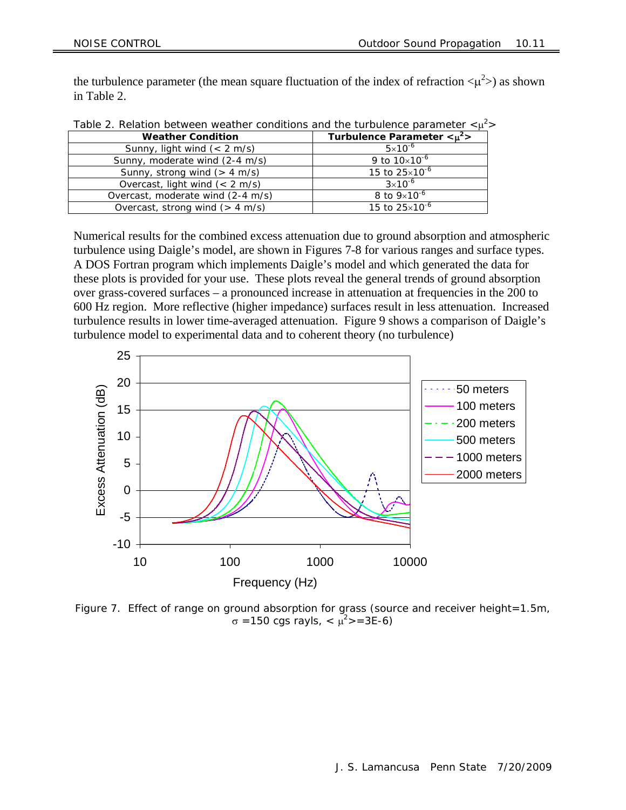the turbulence parameter (the mean square fluctuation of the index of refraction  $\langle \mu^2 \rangle$ ) as shown in Table 2.

| Table 2. Relation between weather conditions and the furbulence parameter $\leq \mu$ |                                |  |  |  |
|--------------------------------------------------------------------------------------|--------------------------------|--|--|--|
| <b>Weather Condition</b>                                                             | Turbulence Parameter $< \mu^2$ |  |  |  |
| Sunny, light wind $(< 2$ m/s)                                                        | $5 \times 10^{-6}$             |  |  |  |
| Sunny, moderate wind (2-4 m/s)                                                       | 9 to $10\times10^{-6}$         |  |  |  |
| Sunny, strong wind $(> 4 \text{ m/s})$                                               | 15 to $25 \times 10^{-6}$      |  |  |  |
| Overcast, light wind $(< 2$ m/s)                                                     | $3 \times 10^{-6}$             |  |  |  |
| Overcast, moderate wind (2-4 m/s)                                                    | 8 to $9 \times 10^{-6}$        |  |  |  |
| Overcast, strong wind $(> 4 \text{ m/s})$                                            | 15 to 25×10 <sup>-6</sup>      |  |  |  |
|                                                                                      |                                |  |  |  |

Table 2. Relation between weather conditions and the turbulence parameter  $\langle \mu^2 \rangle$ 

Numerical results for the combined excess attenuation due to ground absorption and atmospheric turbulence using Daigle's model, are shown in Figures 7-8 for various ranges and surface types. A DOS Fortran program which implements Daigle's model and which generated the data for these plots is provided for your use. These plots reveal the general trends of ground absorption over grass-covered surfaces – a pronounced increase in attenuation at frequencies in the 200 to 600 Hz region. More reflective (higher impedance) surfaces result in less attenuation. Increased turbulence results in lower time-averaged attenuation. Figure 9 shows a comparison of Daigle's turbulence model to experimental data and to coherent theory (no turbulence)



Figure 7. Effect of range on ground absorption for grass (source and receiver height=1.5m,  $\sigma$  =150 cgs rayls, < μ<sup>2</sup>>=3E-6)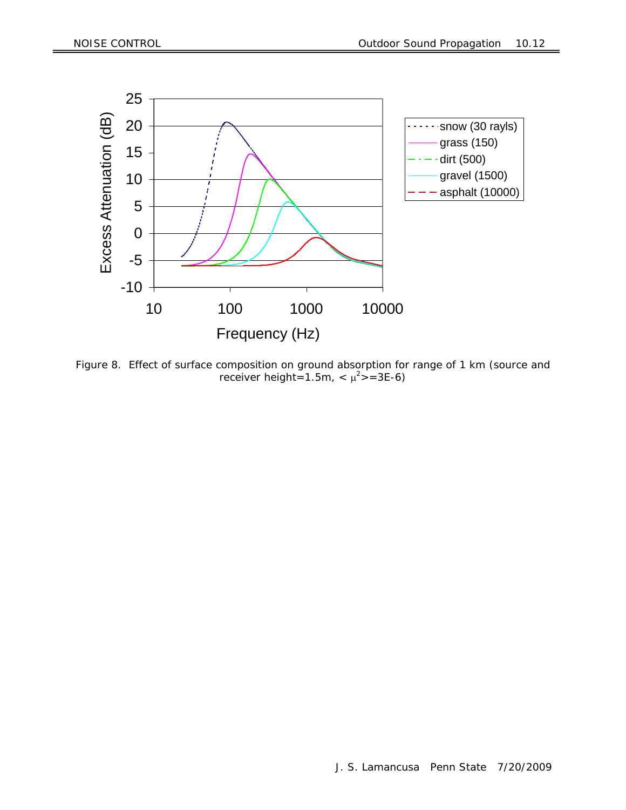

Figure 8. Effect of surface composition on ground absorption for range of 1 km (source and receiver height=1.5m,  $< \mu^2$ >=3E-6)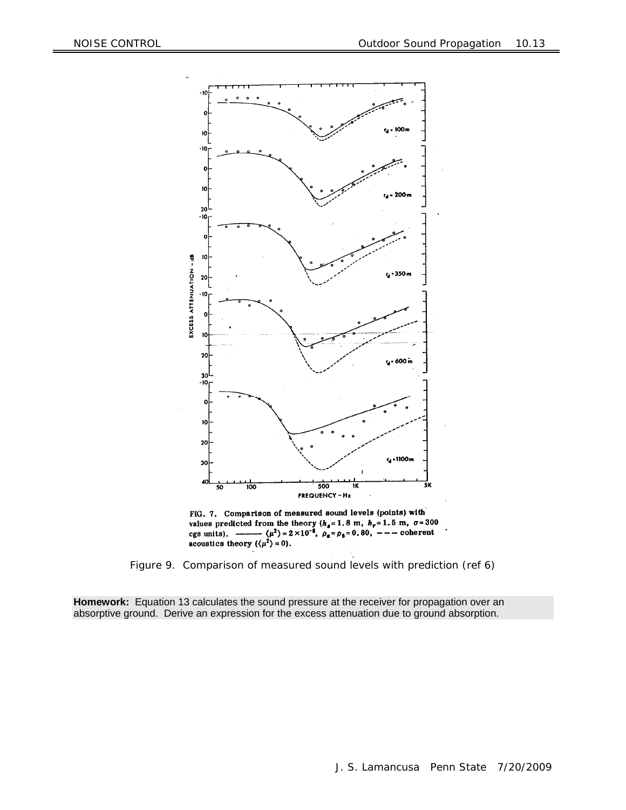

FIG. 7. Comparison of measured sound levels (points) with values predicted from the theory  $(h_a = 1.8 \text{ m}, h_r = 1.5 \text{ m}, \sigma = 300 \text{ cgs units})$ .<br>  $\frac{(\mu^2)^2 2 \times 10^{-6}, \rho_a = \rho_b = 0.80, --- \text{ coherent}}{(1.4 \times 10^{-6})^2 + 2 \times 10^{-6}}$ acoustics theory  $({\langle \mu^2 \rangle} = 0)$ .

Figure 9. Comparison of measured sound levels with prediction (ref 6)

**Homework:** Equation 13 calculates the sound pressure at the receiver for propagation over an absorptive ground. Derive an expression for the excess attenuation due to ground absorption.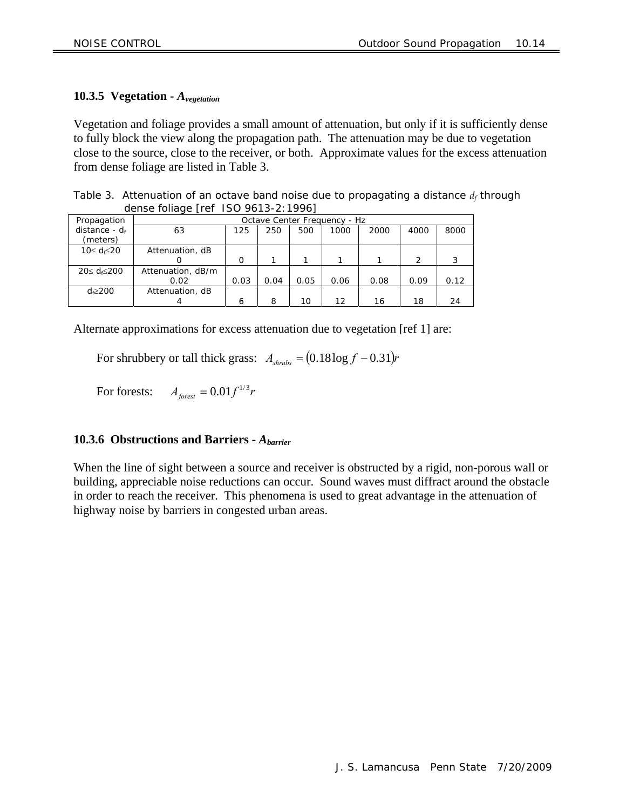#### **10.3.5 Vegetation -** *Avegetation*

Vegetation and foliage provides a small amount of attenuation, but only if it is sufficiently dense to fully block the view along the propagation path. The attenuation may be due to vegetation close to the source, close to the receiver, or both. Approximate values for the excess attenuation from dense foliage are listed in Table 3.

Table 3. Attenuation of an octave band noise due to propagating a distance  $d_f$  through dense foliage [ref ISO 9613-2:1996]

| Propagation      | Octave Center Frequency - Hz |          |      |      |      |      |               |      |
|------------------|------------------------------|----------|------|------|------|------|---------------|------|
| distance - $d_f$ | 63                           | 125      | 250  | 500  | 1000 | 2000 | 4000          | 8000 |
| (meters)         |                              |          |      |      |      |      |               |      |
| 10≤ <i>d</i> ≤20 | Attenuation, dB              |          |      |      |      |      |               |      |
|                  |                              | $\Omega$ |      |      |      |      | $\mathcal{P}$ | 3    |
| 20≤ d≤200        | Attenuation, dB/m            |          |      |      |      |      |               |      |
|                  | 0.02                         | 0.03     | 0.04 | 0.05 | 0.06 | 0.08 | 0.09          | 0.12 |
| $d \geq 200$     | Attenuation, dB              |          |      |      |      |      |               |      |
|                  |                              | 6        | 8    | 10   | 12   | 16   | 18            | 24   |

Alternate approximations for excess attenuation due to vegetation [ref 1] are:

For shrubbery or tall thick grass:  $A_{\text{shrubs}} = (0.18 \log f - 0.31)r$ 

For forests:  $A_{\text{forest}} = 0.01 f^{1/3} r$ 

#### **10.3.6 Obstructions and Barriers -** *Abarrier*

When the line of sight between a source and receiver is obstructed by a rigid, non-porous wall or building, appreciable noise reductions can occur. Sound waves must diffract around the obstacle in order to reach the receiver. This phenomena is used to great advantage in the attenuation of highway noise by barriers in congested urban areas.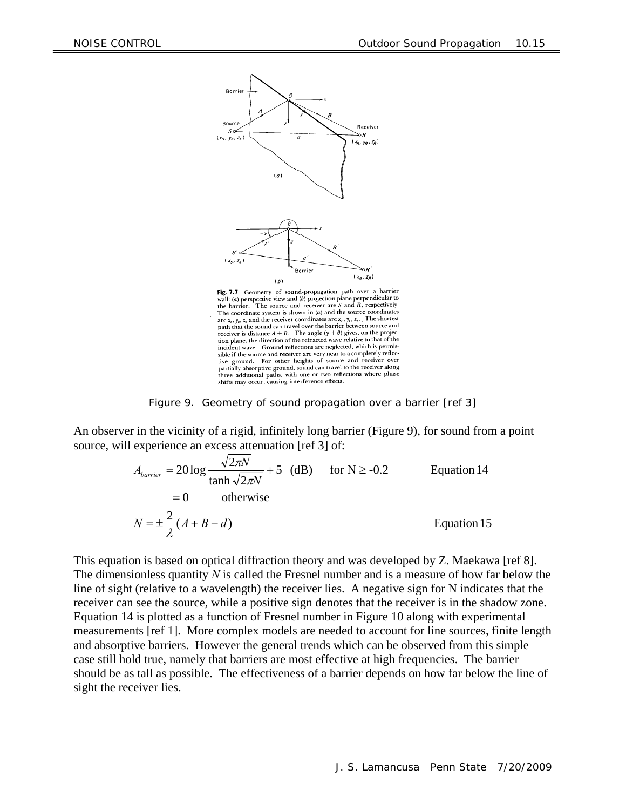

Fig. 7.7 Geometry of sound-propagation path over a barrier **Passage 1.1** (a) perspective view and (b) projection plane perpendicular to the barrier. The source and receiver are S and  $R$ , respectively. The coordinate system is shown in  $(a)$  and the source coordinates The coordinate system is shown in (a) and the solite coordinates<br>are  $x_r$ ,  $y_r$ ,  $z_r$ . The shortest<br>path that the sound can travel over the barrier between source and<br>that is discussed in the latter of the project receiver is distance  $A + B$ . The angle  $(\gamma + \theta)$  gives, on the projection plane, the direction of the refracted wave relative to that of the incident wave. Ground reflections are neglected, which is permissible if the source and receiver are very near to a completely reflecground. For other heights of source and receiver over  $\mathrm{tive}$ tive ground. For other neights of source and receiver over<br>partially absorptive ground, sound can travel to the receiver along<br>three additional paths, with one or two reflections where phase<br>shifts may occur, causing inter

Figure 9. Geometry of sound propagation over a barrier [ref 3]

An observer in the vicinity of a rigid, infinitely long barrier (Figure 9), for sound from a point source, will experience an excess attenuation [ref 3] of:

$$
A_{barrier} = 20 \log \frac{\sqrt{2\pi N}}{\tanh \sqrt{2\pi N}} + 5 \quad (dB) \quad \text{for } N \ge -0.2
$$
 Equation 14  
= 0 otherwise  

$$
N = \pm \frac{2}{\lambda} (A + B - d)
$$
Equation 15

This equation is based on optical diffraction theory and was developed by Z. Maekawa [ref 8]. The dimensionless quantity *N* is called the Fresnel number and is a measure of how far below the line of sight (relative to a wavelength) the receiver lies. A negative sign for N indicates that the receiver can see the source, while a positive sign denotes that the receiver is in the shadow zone. Equation 14 is plotted as a function of Fresnel number in Figure 10 along with experimental measurements [ref 1]. More complex models are needed to account for line sources, finite length and absorptive barriers. However the general trends which can be observed from this simple case still hold true, namely that barriers are most effective at high frequencies. The barrier should be as tall as possible. The effectiveness of a barrier depends on how far below the line of sight the receiver lies.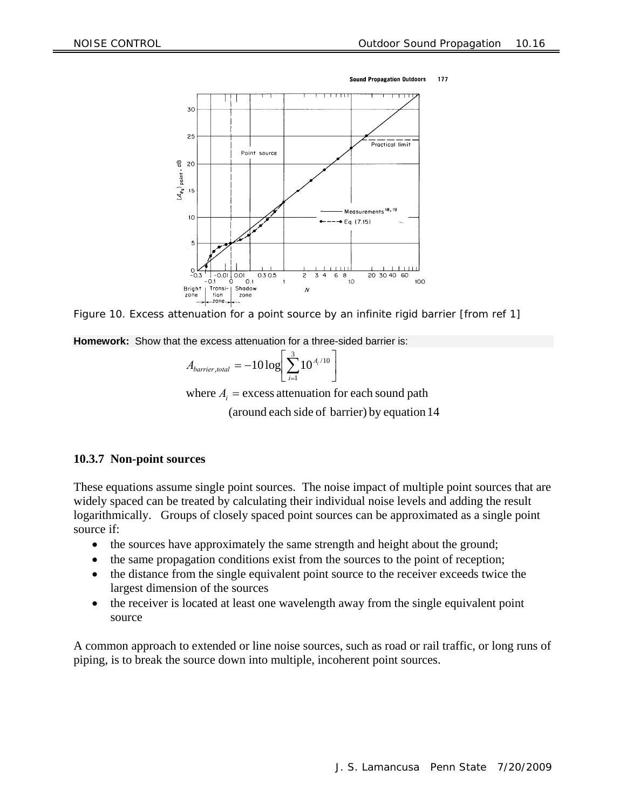



Figure 10. Excess attenuation for a point source by an infinite rigid barrier [from ref 1]

**Homework:** Show that the excess attenuation for a three-sided barrier is:

$$
A_{barrier,total} = -10\log\left[\sum_{i=1}^{3} 10^{A_i/10}\right]
$$

 (around each side of barrier) by equation 14 where  $A_i$  = excess attenuation for each sound path

#### **10.3.7 Non-point sources**

These equations assume single point sources. The noise impact of multiple point sources that are widely spaced can be treated by calculating their individual noise levels and adding the result logarithmically. Groups of closely spaced point sources can be approximated as a single point source if:

- the sources have approximately the same strength and height about the ground;
- the same propagation conditions exist from the sources to the point of reception;
- the distance from the single equivalent point source to the receiver exceeds twice the largest dimension of the sources
- the receiver is located at least one wavelength away from the single equivalent point source

A common approach to extended or line noise sources, such as road or rail traffic, or long runs of piping, is to break the source down into multiple, incoherent point sources.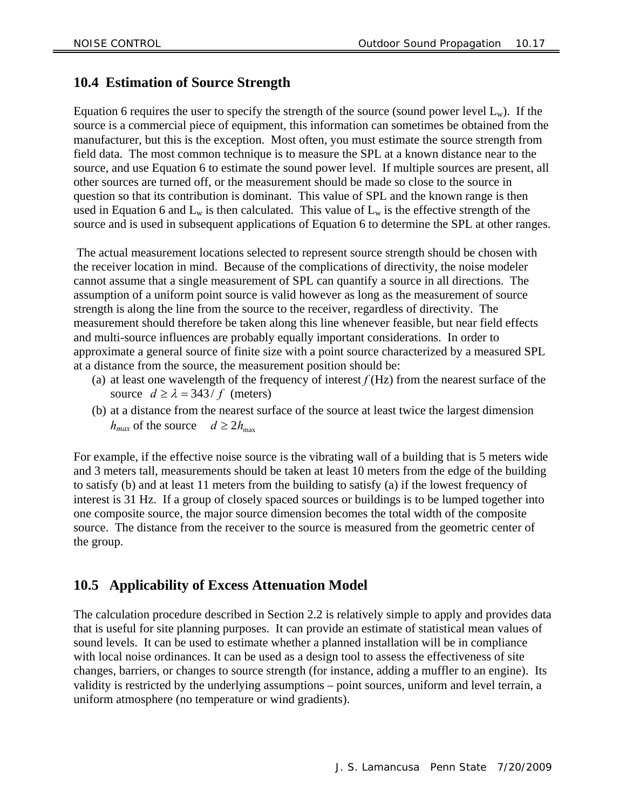### **10.4 Estimation of Source Strength**

Equation 6 requires the user to specify the strength of the source (sound power level  $L_w$ ). If the source is a commercial piece of equipment, this information can sometimes be obtained from the manufacturer, but this is the exception. Most often, you must estimate the source strength from field data. The most common technique is to measure the SPL at a known distance near to the source, and use Equation 6 to estimate the sound power level. If multiple sources are present, all other sources are turned off, or the measurement should be made so close to the source in question so that its contribution is dominant. This value of SPL and the known range is then used in Equation 6 and  $L_w$  is then calculated. This value of  $L_w$  is the effective strength of the source and is used in subsequent applications of Equation 6 to determine the SPL at other ranges.

 The actual measurement locations selected to represent source strength should be chosen with the receiver location in mind. Because of the complications of directivity, the noise modeler cannot assume that a single measurement of SPL can quantify a source in all directions. The assumption of a uniform point source is valid however as long as the measurement of source strength is along the line from the source to the receiver, regardless of directivity. The measurement should therefore be taken along this line whenever feasible, but near field effects and multi-source influences are probably equally important considerations. In order to approximate a general source of finite size with a point source characterized by a measured SPL at a distance from the source, the measurement position should be:

- (a) at least one wavelength of the frequency of interest *f* (Hz) from the nearest surface of the source  $d \ge \lambda = 343/f$  (meters)
- (b) at a distance from the nearest surface of the source at least twice the largest dimension  $h_{max}$  of the source  $d \geq 2h_{max}$

For example, if the effective noise source is the vibrating wall of a building that is 5 meters wide and 3 meters tall, measurements should be taken at least 10 meters from the edge of the building to satisfy (b) and at least 11 meters from the building to satisfy (a) if the lowest frequency of interest is 31 Hz. If a group of closely spaced sources or buildings is to be lumped together into one composite source, the major source dimension becomes the total width of the composite source. The distance from the receiver to the source is measured from the geometric center of the group.

### **10.5 Applicability of Excess Attenuation Model**

The calculation procedure described in Section 2.2 is relatively simple to apply and provides data that is useful for site planning purposes. It can provide an estimate of statistical mean values of sound levels. It can be used to estimate whether a planned installation will be in compliance with local noise ordinances. It can be used as a design tool to assess the effectiveness of site changes, barriers, or changes to source strength (for instance, adding a muffler to an engine). Its validity is restricted by the underlying assumptions – point sources, uniform and level terrain, a uniform atmosphere (no temperature or wind gradients).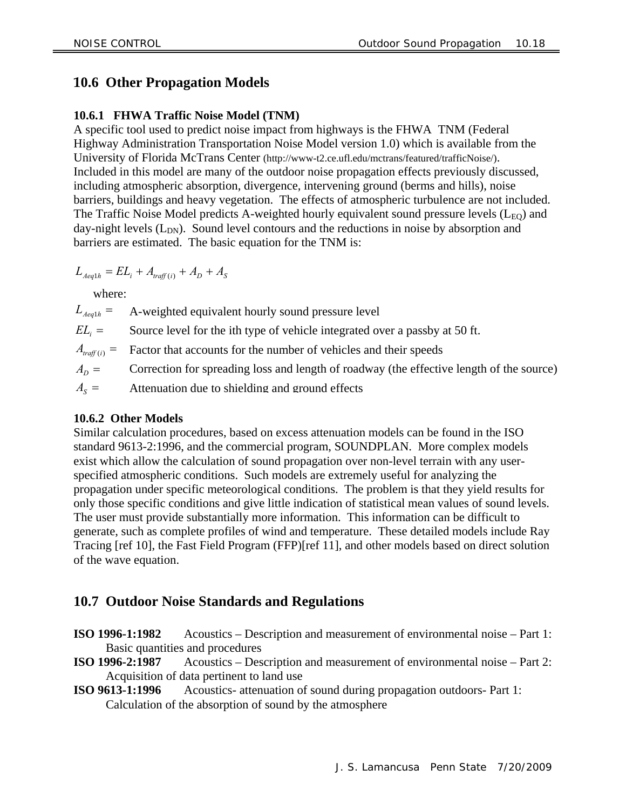## **10.6 Other Propagation Models**

### **10.6.1 FHWA Traffic Noise Model (TNM)**

A specific tool used to predict noise impact from highways is the FHWA TNM (Federal Highway Administration Transportation Noise Model version 1.0) which is available from the University of Florida McTrans Center (http://www-t2.ce.ufl.edu/mctrans/featured/trafficNoise/). Included in this model are many of the outdoor noise propagation effects previously discussed, including atmospheric absorption, divergence, intervening ground (berms and hills), noise barriers, buildings and heavy vegetation. The effects of atmospheric turbulence are not included. The Traffic Noise Model predicts A-weighted hourly equivalent sound pressure levels  $(L_{EQ})$  and day-night levels  $(L_{DN})$ . Sound level contours and the reductions in noise by absorption and barriers are estimated. The basic equation for the TNM is:

$$
L_{Aeq1h} = EL_i + A_{traff(i)} + A_D + A_S
$$

where:

 $A_{\rm s} =$  $A_D =$  $A_{\text{traff}(i)} =$  $EL_i =$  $L$ <sub>*Aeq*1*h*</sub> = A-weighted equivalent hourly sound pressure level Source level for the ith type of vehicle integrated over a passby at 50 ft. Factor that accounts for the number of vehicles and their speeds Correction for spreading loss and length of roadway (the effective length of the source) Attenuation due to shielding and ground effects

#### **10.6.2 Other Models**

Similar calculation procedures, based on excess attenuation models can be found in the ISO standard 9613-2:1996, and the commercial program, SOUNDPLAN. More complex models exist which allow the calculation of sound propagation over non-level terrain with any userspecified atmospheric conditions. Such models are extremely useful for analyzing the propagation under specific meteorological conditions. The problem is that they yield results for only those specific conditions and give little indication of statistical mean values of sound levels. The user must provide substantially more information. This information can be difficult to generate, such as complete profiles of wind and temperature. These detailed models include Ray Tracing [ref 10], the Fast Field Program (FFP)[ref 11], and other models based on direct solution of the wave equation.

### **10.7 Outdoor Noise Standards and Regulations**

- **ISO 1996-1:1982** Acoustics Description and measurement of environmental noise Part 1: Basic quantities and procedures
- **ISO 1996-2:1987** Acoustics Description and measurement of environmental noise Part 2: Acquisition of data pertinent to land use
- **ISO 9613-1:1996** Acoustics- attenuation of sound during propagation outdoors- Part 1: Calculation of the absorption of sound by the atmosphere